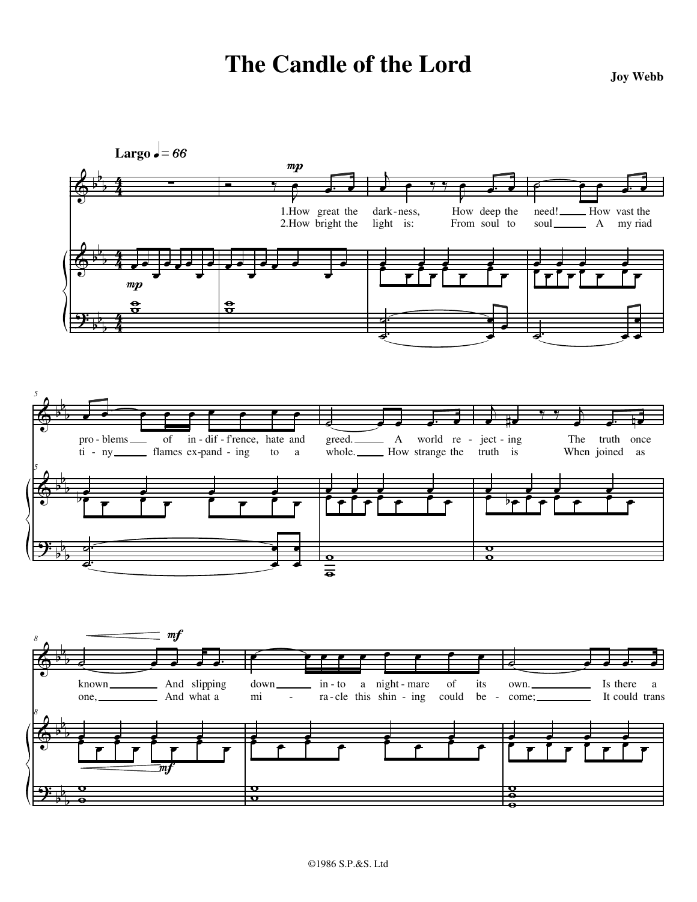## **The Candle of the Lord Joy Webb**